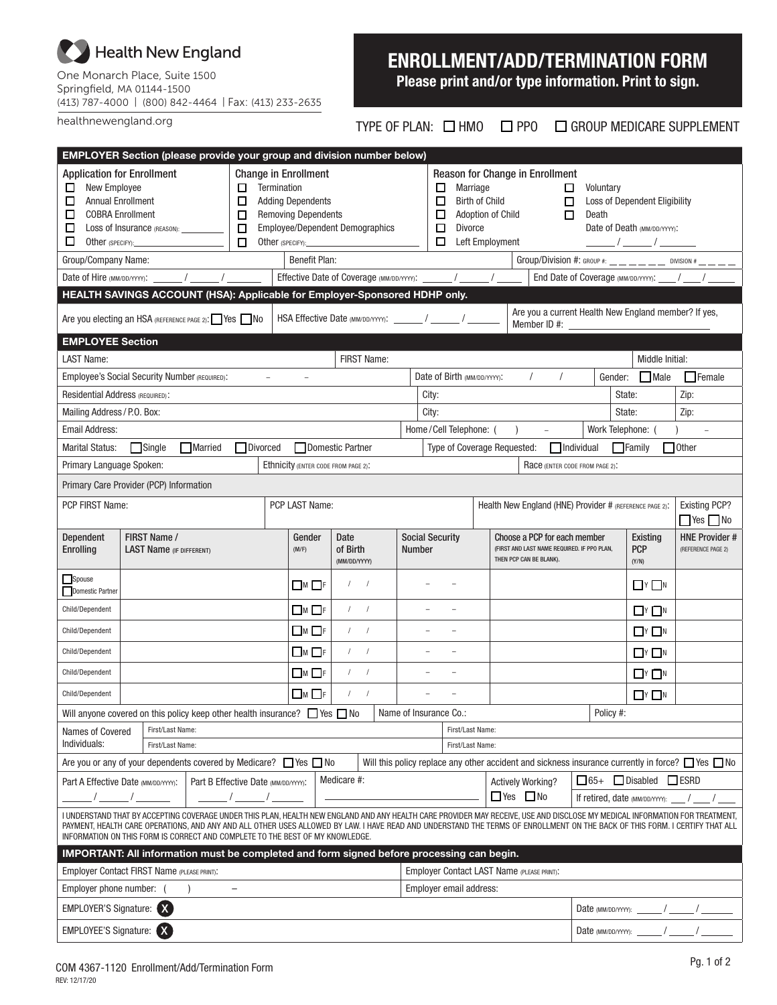## Health New England

One Monarch Place, Suite 1500 Springfield, MA 01144-1500 (413) 787-4000 | (800) 842-4464 | Fax: (413) 233-2635

healthnewengland.org

# ENROLLMENT/ADD/TERMINATION FORM

Please print and/or type information. Print to sign.

TYPE OF PLAN: □ HMO □ PPO □ GROUP MEDICARE SUPPLEMENT

| <b>EMPLOYER Section (please provide your group and division number below)</b>                                                                                                                                                                                                                                                                                                                                                                                                                          |                                                                                      |         |                                                                                                                          |                                               |                                  |               |                                                                                                                                                                                                                                                                                                          |                                                       |                          |                        |                                                                                                        |                                                         |                                         |                                 |                                               |                                                                   |
|--------------------------------------------------------------------------------------------------------------------------------------------------------------------------------------------------------------------------------------------------------------------------------------------------------------------------------------------------------------------------------------------------------------------------------------------------------------------------------------------------------|--------------------------------------------------------------------------------------|---------|--------------------------------------------------------------------------------------------------------------------------|-----------------------------------------------|----------------------------------|---------------|----------------------------------------------------------------------------------------------------------------------------------------------------------------------------------------------------------------------------------------------------------------------------------------------------------|-------------------------------------------------------|--------------------------|------------------------|--------------------------------------------------------------------------------------------------------|---------------------------------------------------------|-----------------------------------------|---------------------------------|-----------------------------------------------|-------------------------------------------------------------------|
| <b>Application for Enrollment</b><br><b>New Employee</b><br>Termination<br>□<br>□<br><b>Annual Enrollment</b><br>□<br>□<br>□<br><b>COBRA Enrollment</b><br>$\Box$<br>□<br>□<br>Loss of Insurance (REASON): __________<br>$\Box$<br>□<br>Other (SPECIFY):                                                                                                                                                                                                                                               |                                                                                      |         | <b>Change in Enrollment</b><br><b>Adding Dependents</b><br><b>Removing Dependents</b><br>Employee/Dependent Demographics |                                               |                                  |               | Reason for Change in Enrollment<br>Marriage<br>□<br>Voluntary<br>⊔<br>□<br><b>Birth of Child</b><br>$\Box$<br><b>Loss of Dependent Eligibility</b><br>$\Box$<br>□<br>Adoption of Child<br>Death<br>□<br><b>Divorce</b><br>Date of Death (MM/DD/YYYY):<br>Left Employment<br>□<br>$\frac{\frac{1}{2}}{2}$ |                                                       |                          |                        |                                                                                                        |                                                         |                                         |                                 |                                               |                                                                   |
| Group/Company Name:                                                                                                                                                                                                                                                                                                                                                                                                                                                                                    |                                                                                      |         |                                                                                                                          | Benefit Plan:                                 |                                  |               |                                                                                                                                                                                                                                                                                                          |                                                       |                          |                        |                                                                                                        |                                                         |                                         |                                 |                                               | Group/Division #: GROUP #: $\_\_$ $\_\_$ $\_\_$ DIVISION # $\_\_$ |
|                                                                                                                                                                                                                                                                                                                                                                                                                                                                                                        | Date of Hire (MM/DD/YYYY): $\frac{1}{2}$ / $\frac{1}{2}$                             |         |                                                                                                                          | Effective Date of Coverage (MM/DD/YYYY): ____ |                                  |               |                                                                                                                                                                                                                                                                                                          |                                                       | $\sqrt{2}$               |                        |                                                                                                        |                                                         |                                         |                                 | End Date of Coverage (MM/DD/YYYY): ____/ ___/ |                                                                   |
| HEALTH SAVINGS ACCOUNT (HSA): Applicable for Employer-Sponsored HDHP only.                                                                                                                                                                                                                                                                                                                                                                                                                             |                                                                                      |         |                                                                                                                          |                                               |                                  |               |                                                                                                                                                                                                                                                                                                          |                                                       |                          |                        |                                                                                                        |                                                         |                                         |                                 |                                               |                                                                   |
| Are you a current Health New England member? If yes,<br>Are you electing an HSA (REFERENCE PAGE 2): Yes No<br>HSA Effective Date (MM/DD/YYYY): ______/ _____/<br>Member ID #: __                                                                                                                                                                                                                                                                                                                       |                                                                                      |         |                                                                                                                          |                                               |                                  |               |                                                                                                                                                                                                                                                                                                          |                                                       |                          |                        |                                                                                                        |                                                         |                                         |                                 |                                               |                                                                   |
| <b>EMPLOYEE Section</b>                                                                                                                                                                                                                                                                                                                                                                                                                                                                                |                                                                                      |         |                                                                                                                          |                                               |                                  |               |                                                                                                                                                                                                                                                                                                          |                                                       |                          |                        |                                                                                                        |                                                         |                                         |                                 |                                               |                                                                   |
| <b>LAST Name:</b><br>FIRST Name:<br>Middle Initial:                                                                                                                                                                                                                                                                                                                                                                                                                                                    |                                                                                      |         |                                                                                                                          |                                               |                                  |               |                                                                                                                                                                                                                                                                                                          |                                                       |                          |                        |                                                                                                        |                                                         |                                         |                                 |                                               |                                                                   |
|                                                                                                                                                                                                                                                                                                                                                                                                                                                                                                        | Employee's Social Security Number (REQUIRED):                                        |         | $\equiv$                                                                                                                 |                                               |                                  |               |                                                                                                                                                                                                                                                                                                          | $\sqrt{ }$<br>Date of Birth (MM/DD/YYYY):<br>$\prime$ |                          |                        |                                                                                                        |                                                         | Gender: Male<br>$\Box$ Female<br>State: |                                 |                                               |                                                                   |
| <b>Residential Address (REQUIRED):</b>                                                                                                                                                                                                                                                                                                                                                                                                                                                                 |                                                                                      |         |                                                                                                                          |                                               |                                  |               | City:                                                                                                                                                                                                                                                                                                    |                                                       |                          |                        |                                                                                                        |                                                         |                                         | Zip:                            |                                               |                                                                   |
| Mailing Address / P.O. Box:                                                                                                                                                                                                                                                                                                                                                                                                                                                                            |                                                                                      |         |                                                                                                                          |                                               |                                  |               |                                                                                                                                                                                                                                                                                                          | City:                                                 |                          |                        |                                                                                                        |                                                         |                                         | State:                          |                                               | Zip:                                                              |
| <b>Email Address:</b><br><b>Marital Status:</b>                                                                                                                                                                                                                                                                                                                                                                                                                                                        | $\Box$ Single                                                                        | Married | $\Box$ Divorced                                                                                                          | Domestic Partner                              |                                  |               |                                                                                                                                                                                                                                                                                                          |                                                       |                          | Home/Cell Telephone: ( | Type of Coverage Requested:                                                                            | $\lambda$                                               | $\Box$ Individual                       |                                 | Work Telephone: (<br>$\Box$ Family            | $\Box$ Other                                                      |
| Primary Language Spoken:                                                                                                                                                                                                                                                                                                                                                                                                                                                                               |                                                                                      |         |                                                                                                                          | Ethnicity (ENTER CODE FROM PAGE 2):           |                                  |               |                                                                                                                                                                                                                                                                                                          |                                                       |                          |                        |                                                                                                        | Race (ENTER CODE FROM PAGE 2):                          |                                         |                                 |                                               |                                                                   |
|                                                                                                                                                                                                                                                                                                                                                                                                                                                                                                        | Primary Care Provider (PCP) Information                                              |         |                                                                                                                          |                                               |                                  |               |                                                                                                                                                                                                                                                                                                          |                                                       |                          |                        |                                                                                                        |                                                         |                                         |                                 |                                               |                                                                   |
|                                                                                                                                                                                                                                                                                                                                                                                                                                                                                                        |                                                                                      |         |                                                                                                                          |                                               |                                  |               |                                                                                                                                                                                                                                                                                                          |                                                       |                          |                        |                                                                                                        |                                                         |                                         |                                 |                                               |                                                                   |
| PCP FIRST Name:                                                                                                                                                                                                                                                                                                                                                                                                                                                                                        |                                                                                      |         |                                                                                                                          | PCP LAST Name:                                |                                  |               |                                                                                                                                                                                                                                                                                                          |                                                       |                          |                        |                                                                                                        | Health New England (HNE) Provider # (REFERENCE PAGE 2): |                                         |                                 |                                               | <b>Existing PCP?</b><br>$\Box$ Yes $\Box$ No                      |
| Dependent<br><b>Enrolling</b>                                                                                                                                                                                                                                                                                                                                                                                                                                                                          | FIRST Name /<br><b>LAST Name (IF DIFFERENT)</b>                                      |         |                                                                                                                          | Gender<br>(M/F)                               | Date<br>of Birth<br>(MM/DD/YYYY) |               |                                                                                                                                                                                                                                                                                                          | <b>Social Security</b><br><b>Number</b>               |                          |                        | Choose a PCP for each member<br>(FIRST AND LAST NAME REQUIRED. IF PPO PLAN,<br>THEN PCP CAN BE BLANK). |                                                         |                                         | Existing<br><b>PCP</b><br>(Y/N) | <b>HNE Provider#</b><br>(REFERENCE PAGE 2)    |                                                                   |
| Spouse<br>Domestic Partner                                                                                                                                                                                                                                                                                                                                                                                                                                                                             |                                                                                      |         |                                                                                                                          | $\Box$ M $\Box$ F                             |                                  | $\frac{1}{2}$ |                                                                                                                                                                                                                                                                                                          |                                                       |                          |                        |                                                                                                        |                                                         |                                         |                                 | $Y$ N                                         |                                                                   |
| Child/Dependent                                                                                                                                                                                                                                                                                                                                                                                                                                                                                        |                                                                                      |         |                                                                                                                          | $\Box$ M $\Box$ F                             |                                  | $1 \quad 1$   |                                                                                                                                                                                                                                                                                                          | $\sim$                                                | $\overline{\phantom{a}}$ |                        |                                                                                                        |                                                         |                                         |                                 | $\Box$ Y $\Box$ N                             |                                                                   |
| Child/Dependent                                                                                                                                                                                                                                                                                                                                                                                                                                                                                        |                                                                                      |         |                                                                                                                          | $\Box$ m $\Box$ f                             | $1 \quad 1$                      |               |                                                                                                                                                                                                                                                                                                          |                                                       |                          |                        |                                                                                                        |                                                         |                                         | $\Box$ Y $\Box$ N               |                                               |                                                                   |
| Child/Dependent                                                                                                                                                                                                                                                                                                                                                                                                                                                                                        |                                                                                      |         |                                                                                                                          | $\Box$ m $\Box$ f                             | $1 \quad 1$                      |               | $\equiv$                                                                                                                                                                                                                                                                                                 |                                                       |                          |                        |                                                                                                        |                                                         |                                         | $Y \cap N$                      |                                               |                                                                   |
| Child/Dependent                                                                                                                                                                                                                                                                                                                                                                                                                                                                                        |                                                                                      |         |                                                                                                                          | $\Box$ M $\Box$ F                             | $1 \quad 1$                      |               |                                                                                                                                                                                                                                                                                                          |                                                       |                          |                        |                                                                                                        |                                                         |                                         | $Y \cap N$                      |                                               |                                                                   |
| Child/Dependent                                                                                                                                                                                                                                                                                                                                                                                                                                                                                        |                                                                                      |         |                                                                                                                          | $\Box M \Box F$                               |                                  | $1 \quad 1$   |                                                                                                                                                                                                                                                                                                          |                                                       |                          |                        |                                                                                                        |                                                         |                                         |                                 | $\Box$ Y $\Box$ N                             |                                                                   |
|                                                                                                                                                                                                                                                                                                                                                                                                                                                                                                        | Will anyone covered on this policy keep other health insurance? $\Box$ Yes $\Box$ No |         |                                                                                                                          |                                               |                                  |               |                                                                                                                                                                                                                                                                                                          |                                                       | Name of Insurance Co.:   |                        |                                                                                                        |                                                         |                                         | Policy #:                       |                                               |                                                                   |
| Names of Covered                                                                                                                                                                                                                                                                                                                                                                                                                                                                                       | First/Last Name:                                                                     |         |                                                                                                                          |                                               |                                  |               |                                                                                                                                                                                                                                                                                                          |                                                       |                          | First/Last Name:       |                                                                                                        |                                                         |                                         |                                 |                                               |                                                                   |
| Individuals:<br>First/Last Name:<br>First/Last Name:                                                                                                                                                                                                                                                                                                                                                                                                                                                   |                                                                                      |         |                                                                                                                          |                                               |                                  |               |                                                                                                                                                                                                                                                                                                          |                                                       |                          |                        |                                                                                                        |                                                         |                                         |                                 |                                               |                                                                   |
| Are you or any of your dependents covered by Medicare? $\Box$ Yes $\Box$ No<br>Will this policy replace any other accident and sickness insurance currently in force? $\Box$ Yes $\Box$ No<br>65+ Disabled ESRD                                                                                                                                                                                                                                                                                        |                                                                                      |         |                                                                                                                          |                                               |                                  |               |                                                                                                                                                                                                                                                                                                          |                                                       |                          |                        |                                                                                                        |                                                         |                                         |                                 |                                               |                                                                   |
|                                                                                                                                                                                                                                                                                                                                                                                                                                                                                                        | Part A Effective Date (MM/DD/YYY):                                                   |         | Part B Effective Date (MM/DD/YYYY):                                                                                      |                                               | Medicare #:                      |               |                                                                                                                                                                                                                                                                                                          |                                                       |                          |                        |                                                                                                        | <b>Actively Working?</b>                                |                                         |                                 |                                               |                                                                   |
| $\Box$ Yes $\Box$ No<br>If retired, date (MM/DD/YYYY):<br>I UNDERSTAND THAT BY ACCEPTING COVERAGE UNDER THIS PLAN, HEALTH NEW ENGLAND AND ANY HEALTH CARE PROVIDER MAY RECEIVE, USE AND DISCLOSE MY MEDICAL INFORMATION FOR TREATMENT,<br>PAYMENT, HEALTH CARE OPERATIONS, AND ANY AND ALL OTHER USES ALLOWED BY LAW. I HAVE READ AND UNDERSTAND THE TERMS OF ENROLLMENT ON THE BACK OF THIS FORM. I CERTIFY THAT ALL<br>INFORMATION ON THIS FORM IS CORRECT AND COMPLETE TO THE BEST OF MY KNOWLEDGE. |                                                                                      |         |                                                                                                                          |                                               |                                  |               |                                                                                                                                                                                                                                                                                                          |                                                       |                          |                        |                                                                                                        |                                                         |                                         |                                 |                                               |                                                                   |
| IMPORTANT: All information must be completed and form signed before processing can begin.                                                                                                                                                                                                                                                                                                                                                                                                              |                                                                                      |         |                                                                                                                          |                                               |                                  |               |                                                                                                                                                                                                                                                                                                          |                                                       |                          |                        |                                                                                                        |                                                         |                                         |                                 |                                               |                                                                   |
| Employer Contact FIRST Name (PLEASE PRINT):                                                                                                                                                                                                                                                                                                                                                                                                                                                            |                                                                                      |         |                                                                                                                          |                                               |                                  |               | <b>Emplover Contact LAST Name (PLEASE PRINT):</b>                                                                                                                                                                                                                                                        |                                                       |                          |                        |                                                                                                        |                                                         |                                         |                                 |                                               |                                                                   |
| Employer phone number: (<br>$\qquad \qquad -$                                                                                                                                                                                                                                                                                                                                                                                                                                                          |                                                                                      |         |                                                                                                                          |                                               |                                  |               | Employer email address:                                                                                                                                                                                                                                                                                  |                                                       |                          |                        |                                                                                                        |                                                         |                                         |                                 |                                               |                                                                   |
| <b>EMPLOYER'S Signature:</b>                                                                                                                                                                                                                                                                                                                                                                                                                                                                           |                                                                                      |         |                                                                                                                          |                                               |                                  |               |                                                                                                                                                                                                                                                                                                          |                                                       |                          |                        |                                                                                                        |                                                         |                                         |                                 |                                               |                                                                   |
| EMPLOYEE'S Signature:                                                                                                                                                                                                                                                                                                                                                                                                                                                                                  |                                                                                      |         |                                                                                                                          |                                               |                                  |               |                                                                                                                                                                                                                                                                                                          |                                                       |                          |                        |                                                                                                        |                                                         |                                         |                                 |                                               |                                                                   |